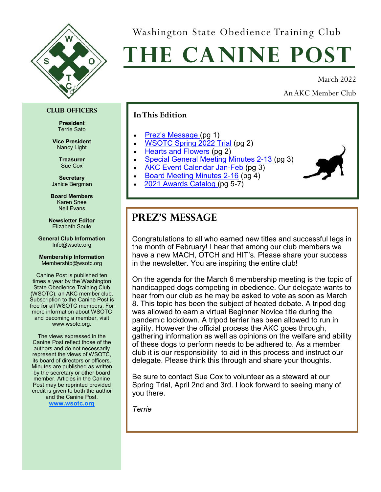<span id="page-0-0"></span>

Washington State Obedience Training Club

# **The Canine Post**

March 2022

An AKC Member Club

#### **Club Officers**

**President** Terrie Sato

**Vice President** Nancy Light

> **Treasurer** Sue Cox

**Secretary** Janice Bergman

**Board Members** Karen Snee Neil Evans

**Newsletter Editor** Elizabeth Soule

**General Club Information** Info@wsotc.org

#### **Membership Information** Membership@wsotc.org

Canine Post is published ten times a year by the Washington State Obedience Training Club (WSOTC), an AKC member club. Subscription to the Canine Post is free for all WSOTC members. For more information about WSOTC and becoming a member, visit www.wsotc.org.

The views expressed in the Canine Post reflect those of the authors and do not necessarily represent the views of WSOTC, its board of directors or officers. Minutes are published as written by the secretary or other board member. Articles in the Canine Post may be reprinted provided credit is given to both the author and the Canine Post.

**[www.wsotc.org](#page-0-0)**

### **In This Edition**

- Prez's Message (pg 1)
- [WSOTC Spring 2022 Trial](#page-1-0) (pg 2)
- [Hearts and Flowers](#page-1-0) (pg 2)
- [Special General Meeting Minutes 2-13](#page-2-0) (pg 3)
- [AKC Event Calendar Jan-Feb](#page-2-0) (pg 3)
- [Board Meeting Minutes 2-16](#page-3-0) (pg 4)
- [2021 Awards Catalog \(](#page-4-0)pg 5-7)

### **Prez's Message**

Congratulations to all who earned new titles and successful legs in the month of February! I hear that among our club members we have a new MACH, OTCH and HIT's. Please share your success in the newsletter. You are inspiring the entire club!

On the agenda for the March 6 membership meeting is the topic of handicapped dogs competing in obedience. Our delegate wants to hear from our club as he may be asked to vote as soon as March 8. This topic has been the subject of heated debate. A tripod dog was allowed to earn a virtual Beginner Novice title during the pandemic lockdown. A tripod terrier has been allowed to run in agility. However the official process the AKC goes through, gathering information as well as opinions on the welfare and ability of these dogs to perform needs to be adhered to. As a member club it is our responsibility to aid in this process and instruct our delegate. Please think this through and share your thoughts.

Be sure to contact Sue Cox to volunteer as a steward at our Spring Trial, April 2nd and 3rd. I look forward to seeing many of you there.

*Terrie*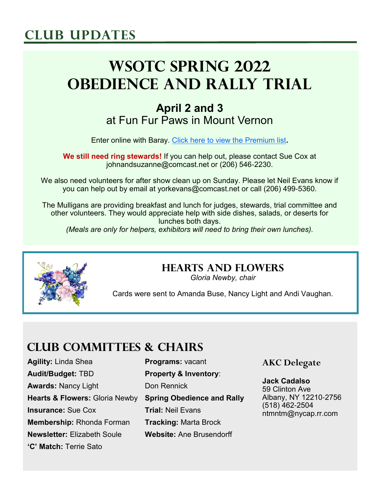## <span id="page-1-0"></span>**Club Updates**

# **WSOTC Spring 2022 Obedience and Rally Trial**

### **April 2 and 3** at Fun Fur Paws in Mount Vernon

Enter online with Baray. [Click here to view the Premium list](https://baray-production-storage.s3.us-west-2.amazonaws.com/premium_list/E2OxD6o9ZosblvtgE3vZLHHtQ9cUj5c2sAuvnzRL.pdf)**.**

**We still need ring stewards!** If you can help out, please contact Sue Cox at johnandsuzanne@comcast.net or (206) 546-2230.

We also need volunteers for after show clean up on Sunday. Please let Neil Evans know if you can help out by email at yorkevans@comcast.net or call (206) 499-5360.

The Mulligans are providing breakfast and lunch for judges, stewards, trial committee and other volunteers. They would appreciate help with side dishes, salads, or deserts for lunches both days. *(Meals are only for helpers, exhibitors will need to bring their own lunches).*



### **Hearts and Flowers**

*Gloria Newby, chair*

Cards were sent to Amanda Buse, Nancy Light and Andi Vaughan.

### **Club Committees & Chairs**

**Agility:** Linda Shea **Audit/Budget:** TBD **Awards:** Nancy Light **Hearts & Flowers:** Gloria Newby **Spring Obedience and Rally Insurance:** Sue Cox **Membership:** Rhonda Forman **Newsletter:** Elizabeth Soule **'C' Match:** Terrie Sato

**Programs:** vacant **Property & Inventory**: Don Rennick **Trial:** Neil Evans **Tracking:** Marta Brock **Website:** Ane Brusendorff

### **AKC Delegate**

**Jack Cadalso** 59 Clinton Ave Albany, NY 12210-2756 (518) 462-2504 ntmntm@nycap.rr.com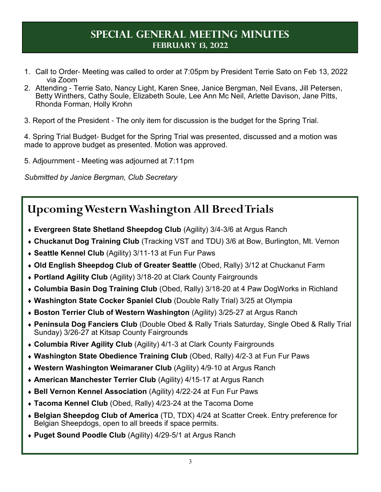### **Special General Meeting Minutes February 13, 2022**

- <span id="page-2-0"></span>1. Call to Order- Meeting was called to order at 7:05pm by President Terrie Sato on Feb 13, 2022 via Zoom
- 2. Attending Terrie Sato, Nancy Light, Karen Snee, Janice Bergman, Neil Evans, Jill Petersen, Betty Winthers, Cathy Soule, Elizabeth Soule, Lee Ann Mc Neil, Arlette Davison, Jane Pitts, Rhonda Forman, Holly Krohn
- 3. Report of the President The only item for discussion is the budget for the Spring Trial.

4. Spring Trial Budget- Budget for the Spring Trial was presented, discussed and a motion was made to approve budget as presented. Motion was approved.

5. Adjournment - Meeting was adjourned at 7:11pm

*Submitted by Janice Bergman, Club Secretary*

### **Upcoming Western Washington All Breed Trials**

- **Evergreen State Shetland Sheepdog Club** (Agility) 3/4-3/6 at Argus Ranch
- **Chuckanut Dog Training Club** (Tracking VST and TDU) 3/6 at Bow, Burlington, Mt. Vernon
- **Seattle Kennel Club** (Agility) 3/11-13 at Fun Fur Paws
- **Old English Sheepdog Club of Greater Seattle** (Obed, Rally) 3/12 at Chuckanut Farm
- **Portland Agility Club** (Agility) 3/18-20 at Clark County Fairgrounds
- **Columbia Basin Dog Training Club** (Obed, Rally) 3/18-20 at 4 Paw DogWorks in Richland
- **Washington State Cocker Spaniel Club** (Double Rally Trial) 3/25 at Olympia
- **Boston Terrier Club of Western Washington** (Agility) 3/25-27 at Argus Ranch
- **Peninsula Dog Fanciers Club** (Double Obed & Rally Trials Saturday, Single Obed & Rally Trial Sunday) 3/26-27 at Kitsap County Fairgrounds
- **Columbia River Agility Club** (Agility) 4/1-3 at Clark County Fairgrounds
- **Washington State Obedience Training Club** (Obed, Rally) 4/2-3 at Fun Fur Paws
- **Western Washington Weimaraner Club** (Agility) 4/9-10 at Argus Ranch
- **American Manchester Terrier Club** (Agility) 4/15-17 at Argus Ranch
- **Bell Vernon Kennel Association** (Agility) 4/22-24 at Fun Fur Paws
- **Tacoma Kennel Club** (Obed, Rally) 4/23-24 at the Tacoma Dome
- **Belgian Sheepdog Club of America** (TD, TDX) 4/24 at Scatter Creek. Entry preference for Belgian Sheepdogs, open to all breeds if space permits.
- **Puget Sound Poodle Club** (Agility) 4/29-5/1 at Argus Ranch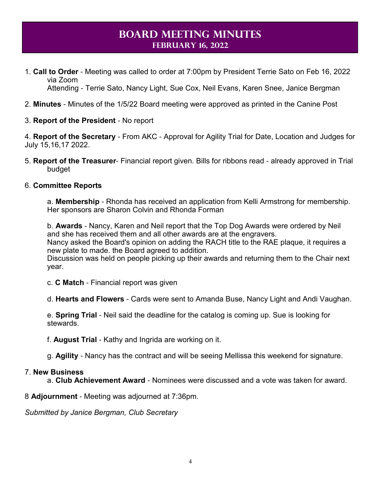### **Board Meeting Minutes February 16, 2022**

- <span id="page-3-0"></span>1. **Call to Order** - Meeting was called to order at 7:00pm by President Terrie Sato on Feb 16, 2022 via Zoom Attending - Terrie Sato, Nancy Light, Sue Cox, Neil Evans, Karen Snee, Janice Bergman
- 2. **Minutes** Minutes of the 1/5/22 Board meeting were approved as printed in the Canine Post
- 3. **Report of the President** No report

4. **Report of the Secretary** - From AKC - Approval for Agility Trial for Date, Location and Judges for July 15,16,17 2022.

5. **Report of the Treasurer**- Financial report given. Bills for ribbons read - already approved in Trial budget

#### 6. **Committee Reports**

a. **Membership** - Rhonda has received an application from Kelli Armstrong for membership. Her sponsors are Sharon Colvin and Rhonda Forman

b. **Awards** - Nancy, Karen and Neil report that the Top Dog Awards were ordered by Neil and she has received them and all other awards are at the engravers. Nancy asked the Board's opinion on adding the RACH title to the RAE plaque, it requires a new plate to made. the Board agreed to addition.

Discussion was held on people picking up their awards and returning them to the Chair next year.

c. **C Match** - Financial report was given

d. **Hearts and Flowers** - Cards were sent to Amanda Buse, Nancy Light and Andi Vaughan.

e. **Spring Trial** - Neil said the deadline for the catalog is coming up. Sue is looking for stewards.

f. **August Trial** - Kathy and Ingrida are working on it.

g. **Agility** - Nancy has the contract and will be seeing Mellissa this weekend for signature.

#### 7. **New Business**

a. **Club Achievement Award** - Nominees were discussed and a vote was taken for award.

8 **Adjournment** - Meeting was adjourned at 7:36pm.

*Submitted by Janice Bergman, Club Secretary*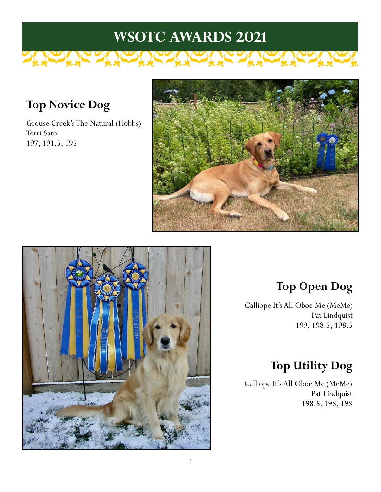# **WSOTC Awards 2021**

### **Top Novice Dog**

Grouse Creek's The Natural (Hobbs) Terri Sato 197, 191.5, 195

<span id="page-4-0"></span>The fire the the form of the the





### **Top Open Dog**

Calliope It's All Oboe Me (MeMe) Pat Lindquist 199, 198.5, 198.5

 $\sum_{k} \sum_{k} \sum_{k}$ 

### **Top Utility Dog**

Calliope It's All Oboe Me (MeMe) Pat Lindquist 198.5, 198, 198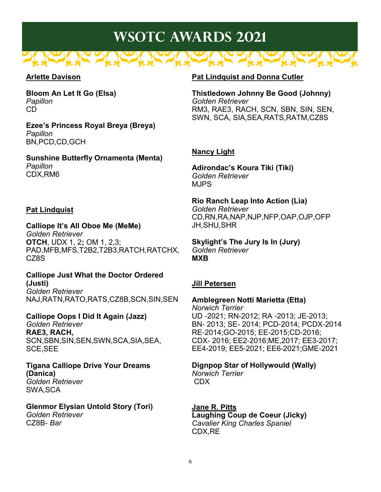# **WSOTC Awards 2021**

### **Arlette Davison**

**Bloom An Let It Go (Elsa)** *Papillon* CD

**Ezee's Princess Royal Breya (Breya)**  *Papillon* BN,PCD,CD,GCH

**Sunshine Butterfly Ornamenta (Menta)** *Papillon* CDX,RM6

### **Pat Lindquist**

**Calliope It's All Oboe Me (MeMe)** *Golden Retriever* **OTCH**, UDX 1, 2**;** OM 1, 2,3; PAD,MFB,MFS,T2B2,T2B3,RATCH,RATCHX, CZ8S

**Calliope Just What the Doctor Ordered (Justi)** *Golden Retriever* NAJ,RATN,RATO,RATS,CZ8B,SCN,SIN,SEN

**Calliope Oops I Did It Again (Jazz)**  *Golden Retriever* **RAE3, RACH,**  SCN,SBN,SIN,SEN,SWN,SCA,SIA,SEA, SCE,SEE

**Tigana Calliope Drive Your Dreams (Danica)** *Golden Retriever* SWA,SCA

**Glenmor Elysian Untold Story (Tori)**  *Golden Retriever* CZ8B- *Bar*

#### **Pat Lindquist and Donna Cutler**

**Thistledown Johnny Be Good (Johnny)**  *Golden Retriever* RM3, RAE3, RACH, SCN, SBN, SIN, SEN, SWN, SCA, SIA,SEA,RATS,RATM,CZ8S

### **Nancy Light**

**Adirondac's Koura Tiki (Tiki)** *Golden Retriever* MJPS

**Rio Ranch Leap Into Action (Lia)** *Golden Retriever* CD,RN,RA,NAP,NJP,NFP,OAP,OJP,OFP JH,SHU,SHR

**Skylight's The Jury Is In (Jury)**  *Golden Retriever* **MXB**

#### **Jill Petersen**

**Amblegreen Notti Marietta (Etta)** 

*Norwich Terrier* UD -2021; RN-2012; RA -2013; JE-2013; BN- 2013; SE- 2014; PCD-2014; PCDX-2014 RE-2014;GO-2015; EE-2015;CD-2016; CDX- 2016; EE2-2016;ME,2017; EE3-2017; EE4-2019; EE5-2021; EE6-2021;GME-2021

**Dignpop Star of Hollywould (Wally)** *Norwich Terrier* CDX

**Jane R. Pitts Laughing Coup de Coeur (Jicky)** *Cavalier King Charles Spaniel* CDX,RE